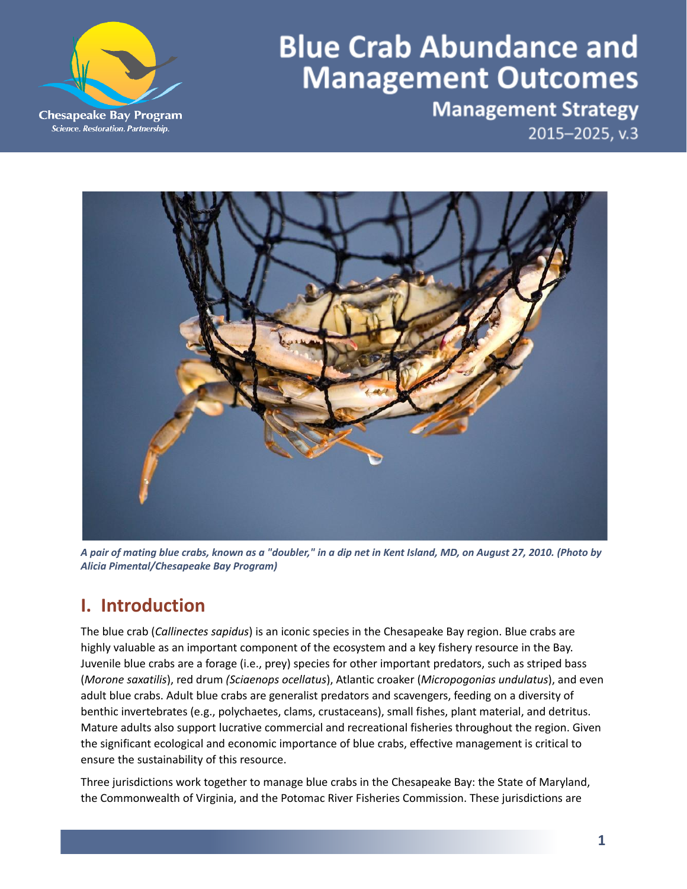

# **Blue Crab Abundance and Management Outcomes**

**Management Strategy** 2015-2025, v.3



A pair of mating blue crabs, known as a "doubler," in a dip net in Kent Island, MD, on August 27, 2010. (Photo by *Alicia Pimental/Chesapeake Bay Program)*

# **I. Introduction**

The blue crab (*Callinectes sapidus*) is an iconic species in the Chesapeake Bay region. Blue crabs are highly valuable as an important component of the ecosystem and a key fishery resource in the Bay. Juvenile blue crabs are a forage (i.e., prey) species for other important predators, such as striped bass (*Morone saxatilis*), red drum *(Sciaenops ocellatus*), Atlantic croaker (*Micropogonias undulatus*), and even adult blue crabs. Adult blue crabs are generalist predators and scavengers, feeding on a diversity of benthic invertebrates (e.g., polychaetes, clams, crustaceans), small fishes, plant material, and detritus. Mature adults also support lucrative commercial and recreational fisheries throughout the region. Given the significant ecological and economic importance of blue crabs, effective management is critical to ensure the sustainability of this resource.

Three jurisdictions work together to manage blue crabs in the Chesapeake Bay: the State of Maryland, the Commonwealth of Virginia, and the Potomac River Fisheries Commission. These jurisdictions are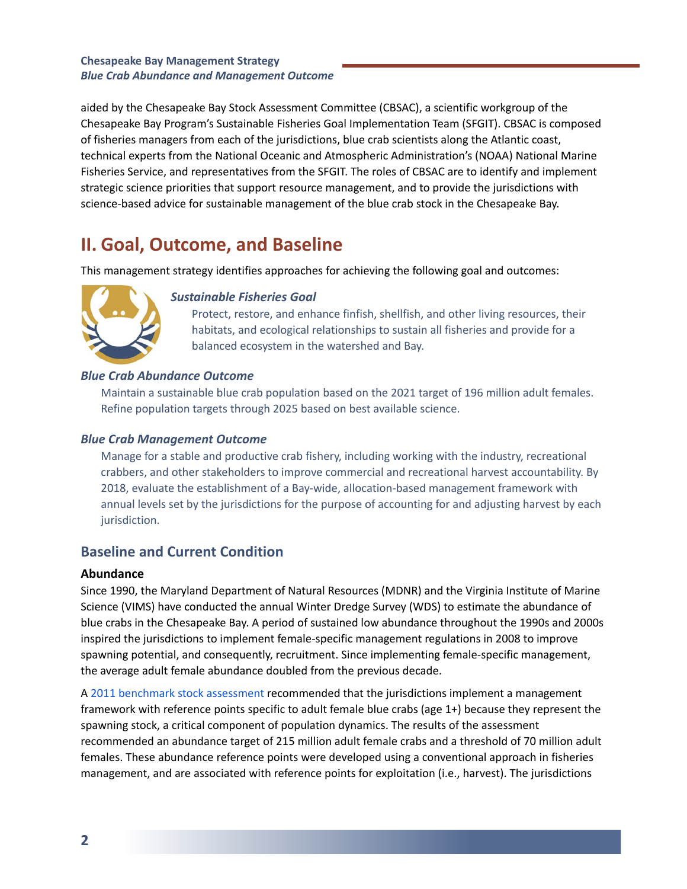aided by the Chesapeake Bay Stock Assessment Committee (CBSAC), a scientific workgroup of the Chesapeake Bay Program's Sustainable Fisheries Goal Implementation Team (SFGIT). CBSAC is composed of fisheries managers from each of the jurisdictions, blue crab scientists along the Atlantic coast, technical experts from the National Oceanic and Atmospheric Administration's (NOAA) National Marine Fisheries Service, and representatives from the SFGIT. The roles of CBSAC are to identify and implement strategic science priorities that support resource management, and to provide the jurisdictions with science-based advice for sustainable management of the blue crab stock in the Chesapeake Bay.

### **II. Goal, Outcome, and Baseline**

This management strategy identifies approaches for achieving the following goal and outcomes:



#### *Sustainable Fisheries Goal*

Protect, restore, and enhance finfish, shellfish, and other living resources, their habitats, and ecological relationships to sustain all fisheries and provide for a balanced ecosystem in the watershed and Bay.

#### *Blue Crab Abundance Outcome*

Maintain a sustainable blue crab population based on the 2021 target of 196 million adult females. Refine population targets through 2025 based on best available science.

#### *Blue Crab Management Outcome*

Manage for a stable and productive crab fishery, including working with the industry, recreational crabbers, and other stakeholders to improve commercial and recreational harvest accountability. By 2018, evaluate the establishment of a Bay-wide, allocation-based management framework with annual levels set by the jurisdictions for the purpose of accounting for and adjusting harvest by each jurisdiction.

### **Baseline and Current Condition**

#### **Abundance**

Since 1990, the Maryland Department of Natural Resources (MDNR) and the Virginia Institute of Marine Science (VIMS) have conducted the annual Winter Dredge Survey (WDS) to estimate the abundance of blue crabs in the Chesapeake Bay. A period of sustained low abundance throughout the 1990s and 2000s inspired the jurisdictions to implement female-specific management regulations in 2008 to improve spawning potential, and consequently, recruitment. Since implementing female-specific management, the average adult female abundance doubled from the previous decade.

A 2011 benchmark stock [assessment](https://hjort.cbl.umces.edu/crabs/Assessment.html) recommended that the jurisdictions implement a management framework with reference points specific to adult female blue crabs (age 1+) because they represent the spawning stock, a critical component of population dynamics. The results of the assessment recommended an abundance target of 215 million adult female crabs and a threshold of 70 million adult females. These abundance reference points were developed using a conventional approach in fisheries management, and are associated with reference points for exploitation (i.e., harvest). The jurisdictions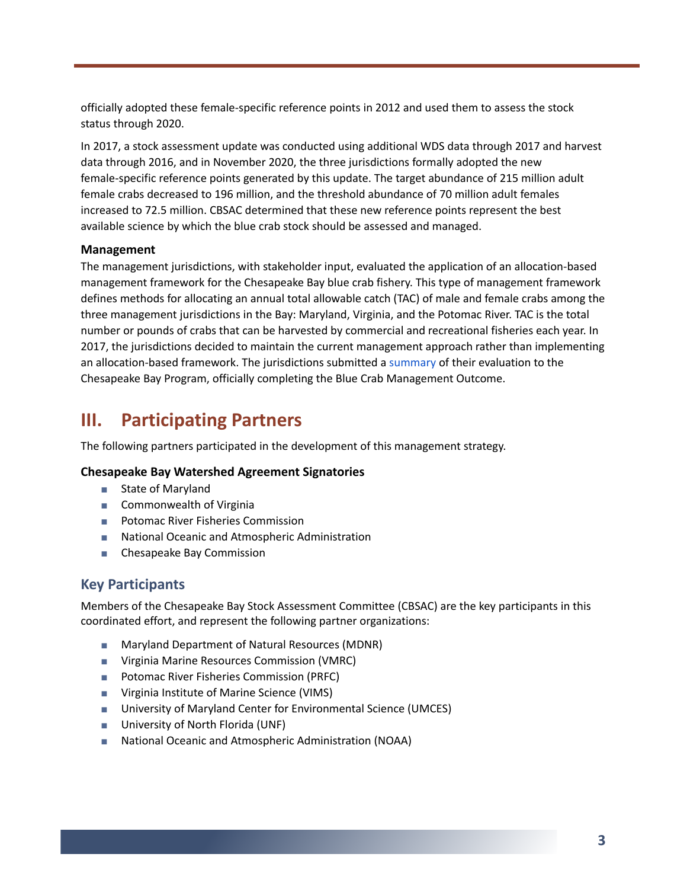officially adopted these female-specific reference points in 2012 and used them to assess the stock status through 2020.

In 2017, a stock assessment update was conducted using additional WDS data through 2017 and harvest data through 2016, and in November 2020, the three jurisdictions formally adopted the new female-specific reference points generated by this update. The target abundance of 215 million adult female crabs decreased to 196 million, and the threshold abundance of 70 million adult females increased to 72.5 million. CBSAC determined that these new reference points represent the best available science by which the blue crab stock should be assessed and managed.

#### **Management**

The management jurisdictions, with stakeholder input, evaluated the application of an allocation-based management framework for the Chesapeake Bay blue crab fishery. This type of management framework defines methods for allocating an annual total allowable catch (TAC) of male and female crabs among the three management jurisdictions in the Bay: Maryland, Virginia, and the Potomac River. TAC is the total number or pounds of crabs that can be harvested by commercial and recreational fisheries each year. In 2017, the jurisdictions decided to maintain the current management approach rather than implementing an allocation-based framework. The jurisdictions submitted a [summary](https://www.chesapeakebay.net/channel_files/24399/allocation_update_to_bay_program_final_june_2017.pdf) of their evaluation to the Chesapeake Bay Program, officially completing the Blue Crab Management Outcome.

### **III. Participating Partners**

The following partners participated in the development of this management strategy.

#### **Chesapeake Bay Watershed Agreement Signatories**

- State of Maryland
- Commonwealth of Virginia
- Potomac River Fisheries Commission
- National Oceanic and Atmospheric Administration
- Chesapeake Bay Commission

### **Key Participants**

Members of the Chesapeake Bay Stock Assessment Committee (CBSAC) are the key participants in this coordinated effort, and represent the following partner organizations:

- Maryland Department of Natural Resources (MDNR)
- Virginia Marine Resources Commission (VMRC)
- Potomac River Fisheries Commission (PRFC)
- Virginia Institute of Marine Science (VIMS)
- University of Maryland Center for Environmental Science (UMCES)
- University of North Florida (UNF)
- National Oceanic and Atmospheric Administration (NOAA)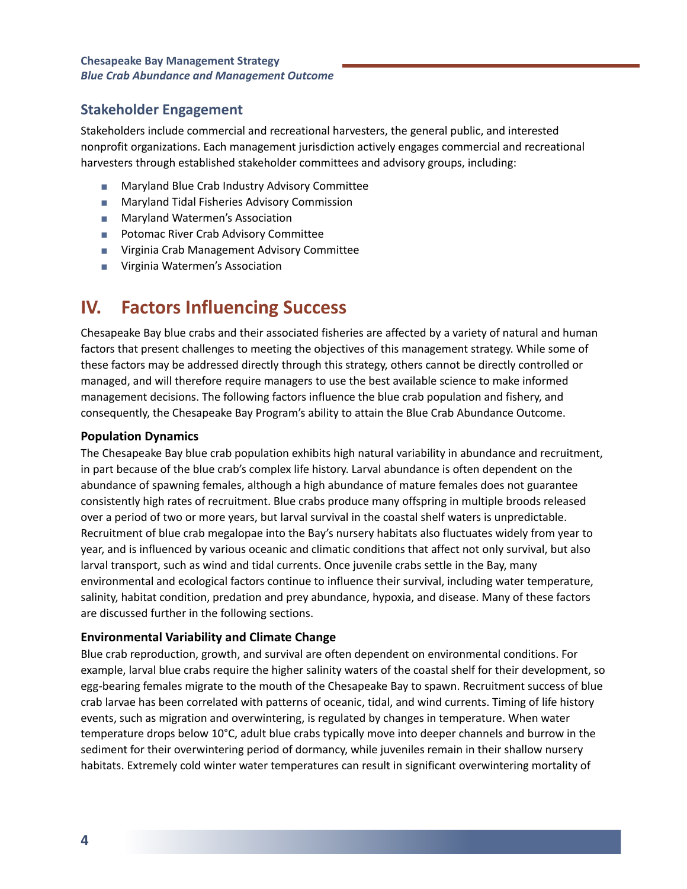### **Stakeholder Engagement**

Stakeholders include commercial and recreational harvesters, the general public, and interested nonprofit organizations. Each management jurisdiction actively engages commercial and recreational harvesters through established stakeholder committees and advisory groups, including:

- Maryland Blue Crab Industry Advisory Committee
- Maryland Tidal Fisheries Advisory Commission
- Maryland Watermen's Association
- Potomac River Crab Advisory Committee
- Virginia Crab Management Advisory Committee
- Virginia Watermen's Association

### **IV. Factors Influencing Success**

Chesapeake Bay blue crabs and their associated fisheries are affected by a variety of natural and human factors that present challenges to meeting the objectives of this management strategy. While some of these factors may be addressed directly through this strategy, others cannot be directly controlled or managed, and will therefore require managers to use the best available science to make informed management decisions. The following factors influence the blue crab population and fishery, and consequently, the Chesapeake Bay Program's ability to attain the Blue Crab Abundance Outcome.

#### **Population Dynamics**

The Chesapeake Bay blue crab population exhibits high natural variability in abundance and recruitment, in part because of the blue crab's complex life history. Larval abundance is often dependent on the abundance of spawning females, although a high abundance of mature females does not guarantee consistently high rates of recruitment. Blue crabs produce many offspring in multiple broods released over a period of two or more years, but larval survival in the coastal shelf waters is unpredictable. Recruitment of blue crab megalopae into the Bay's nursery habitats also fluctuates widely from year to year, and is influenced by various oceanic and climatic conditions that affect not only survival, but also larval transport, such as wind and tidal currents. Once juvenile crabs settle in the Bay, many environmental and ecological factors continue to influence their survival, including water temperature, salinity, habitat condition, predation and prey abundance, hypoxia, and disease. Many of these factors are discussed further in the following sections.

#### **Environmental Variability and Climate Change**

Blue crab reproduction, growth, and survival are often dependent on environmental conditions. For example, larval blue crabs require the higher salinity waters of the coastal shelf for their development, so egg-bearing females migrate to the mouth of the Chesapeake Bay to spawn. Recruitment success of blue crab larvae has been correlated with patterns of oceanic, tidal, and wind currents. Timing of life history events, such as migration and overwintering, is regulated by changes in temperature. When water temperature drops below 10°C, adult blue crabs typically move into deeper channels and burrow in the sediment for their overwintering period of dormancy, while juveniles remain in their shallow nursery habitats. Extremely cold winter water temperatures can result in significant overwintering mortality of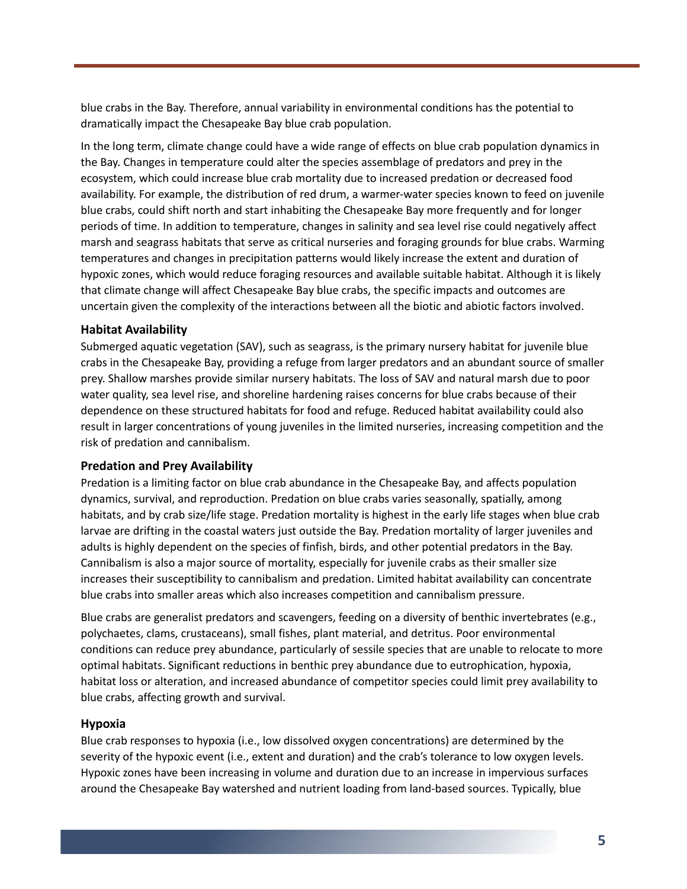blue crabs in the Bay. Therefore, annual variability in environmental conditions has the potential to dramatically impact the Chesapeake Bay blue crab population.

In the long term, climate change could have a wide range of effects on blue crab population dynamics in the Bay. Changes in temperature could alter the species assemblage of predators and prey in the ecosystem, which could increase blue crab mortality due to increased predation or decreased food availability. For example, the distribution of red drum, a warmer-water species known to feed on juvenile blue crabs, could shift north and start inhabiting the Chesapeake Bay more frequently and for longer periods of time. In addition to temperature, changes in salinity and sea level rise could negatively affect marsh and seagrass habitats that serve as critical nurseries and foraging grounds for blue crabs. Warming temperatures and changes in precipitation patterns would likely increase the extent and duration of hypoxic zones, which would reduce foraging resources and available suitable habitat. Although it is likely that climate change will affect Chesapeake Bay blue crabs, the specific impacts and outcomes are uncertain given the complexity of the interactions between all the biotic and abiotic factors involved.

#### **Habitat Availability**

Submerged aquatic vegetation (SAV), such as seagrass, is the primary nursery habitat for juvenile blue crabs in the Chesapeake Bay, providing a refuge from larger predators and an abundant source of smaller prey. Shallow marshes provide similar nursery habitats. The loss of SAV and natural marsh due to poor water quality, sea level rise, and shoreline hardening raises concerns for blue crabs because of their dependence on these structured habitats for food and refuge. Reduced habitat availability could also result in larger concentrations of young juveniles in the limited nurseries, increasing competition and the risk of predation and cannibalism.

#### **Predation and Prey Availability**

Predation is a limiting factor on blue crab abundance in the Chesapeake Bay, and affects population dynamics, survival, and reproduction. Predation on blue crabs varies seasonally, spatially, among habitats, and by crab size/life stage. Predation mortality is highest in the early life stages when blue crab larvae are drifting in the coastal waters just outside the Bay. Predation mortality of larger juveniles and adults is highly dependent on the species of finfish, birds, and other potential predators in the Bay. Cannibalism is also a major source of mortality, especially for juvenile crabs as their smaller size increases their susceptibility to cannibalism and predation. Limited habitat availability can concentrate blue crabs into smaller areas which also increases competition and cannibalism pressure.

Blue crabs are generalist predators and scavengers, feeding on a diversity of benthic invertebrates (e.g., polychaetes, clams, crustaceans), small fishes, plant material, and detritus. Poor environmental conditions can reduce prey abundance, particularly of sessile species that are unable to relocate to more optimal habitats. Significant reductions in benthic prey abundance due to eutrophication, hypoxia, habitat loss or alteration, and increased abundance of competitor species could limit prey availability to blue crabs, affecting growth and survival.

#### **Hypoxia**

Blue crab responses to hypoxia (i.e., low dissolved oxygen concentrations) are determined by the severity of the hypoxic event (i.e., extent and duration) and the crab's tolerance to low oxygen levels. Hypoxic zones have been increasing in volume and duration due to an increase in impervious surfaces around the Chesapeake Bay watershed and nutrient loading from land-based sources. Typically, blue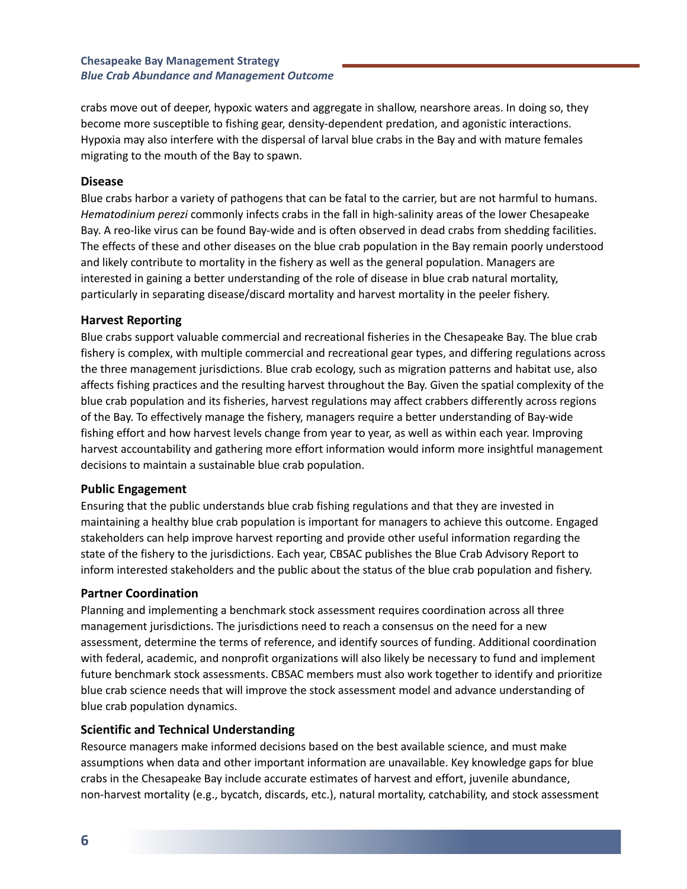crabs move out of deeper, hypoxic waters and aggregate in shallow, nearshore areas. In doing so, they become more susceptible to fishing gear, density-dependent predation, and agonistic interactions. Hypoxia may also interfere with the dispersal of larval blue crabs in the Bay and with mature females migrating to the mouth of the Bay to spawn.

#### **Disease**

Blue crabs harbor a variety of pathogens that can be fatal to the carrier, but are not harmful to humans. *Hematodinium perezi* commonly infects crabs in the fall in high-salinity areas of the lower Chesapeake Bay. A reo-like virus can be found Bay-wide and is often observed in dead crabs from shedding facilities. The effects of these and other diseases on the blue crab population in the Bay remain poorly understood and likely contribute to mortality in the fishery as well as the general population. Managers are interested in gaining a better understanding of the role of disease in blue crab natural mortality, particularly in separating disease/discard mortality and harvest mortality in the peeler fishery.

#### **Harvest Reporting**

Blue crabs support valuable commercial and recreational fisheries in the Chesapeake Bay. The blue crab fishery is complex, with multiple commercial and recreational gear types, and differing regulations across the three management jurisdictions. Blue crab ecology, such as migration patterns and habitat use, also affects fishing practices and the resulting harvest throughout the Bay. Given the spatial complexity of the blue crab population and its fisheries, harvest regulations may affect crabbers differently across regions of the Bay. To effectively manage the fishery, managers require a better understanding of Bay-wide fishing effort and how harvest levels change from year to year, as well as within each year. Improving harvest accountability and gathering more effort information would inform more insightful management decisions to maintain a sustainable blue crab population.

#### **Public Engagement**

Ensuring that the public understands blue crab fishing regulations and that they are invested in maintaining a healthy blue crab population is important for managers to achieve this outcome. Engaged stakeholders can help improve harvest reporting and provide other useful information regarding the state of the fishery to the jurisdictions. Each year, CBSAC publishes the Blue Crab Advisory Report to inform interested stakeholders and the public about the status of the blue crab population and fishery.

#### **Partner Coordination**

Planning and implementing a benchmark stock assessment requires coordination across all three management jurisdictions. The jurisdictions need to reach a consensus on the need for a new assessment, determine the terms of reference, and identify sources of funding. Additional coordination with federal, academic, and nonprofit organizations will also likely be necessary to fund and implement future benchmark stock assessments. CBSAC members must also work together to identify and prioritize blue crab science needs that will improve the stock assessment model and advance understanding of blue crab population dynamics.

#### **Scientific and Technical Understanding**

Resource managers make informed decisions based on the best available science, and must make assumptions when data and other important information are unavailable. Key knowledge gaps for blue crabs in the Chesapeake Bay include accurate estimates of harvest and effort, juvenile abundance, non-harvest mortality (e.g., bycatch, discards, etc.), natural mortality, catchability, and stock assessment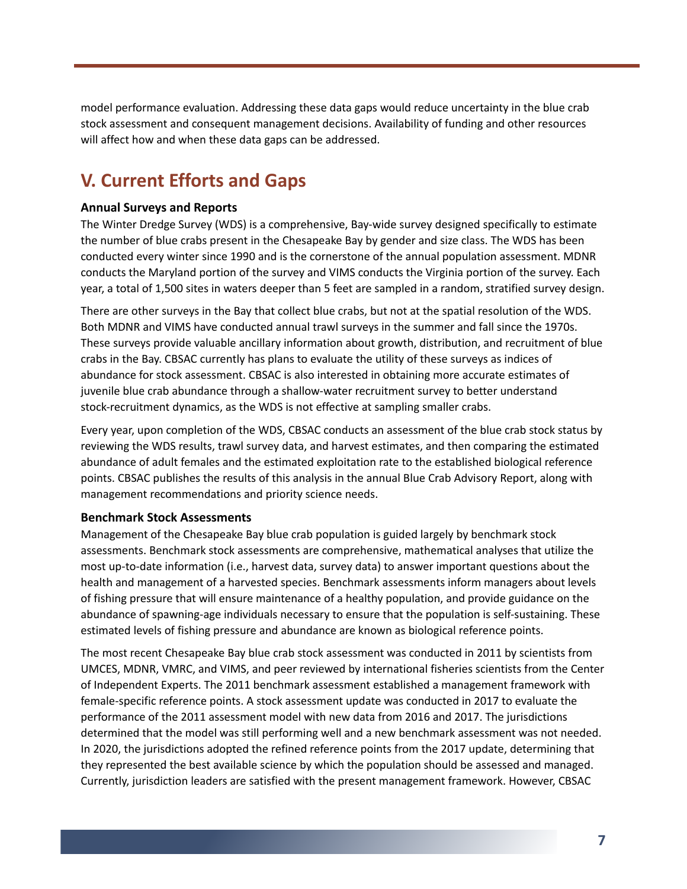model performance evaluation. Addressing these data gaps would reduce uncertainty in the blue crab stock assessment and consequent management decisions. Availability of funding and other resources will affect how and when these data gaps can be addressed.

# **V. Current Efforts and Gaps**

#### **Annual Surveys and Reports**

The Winter Dredge Survey (WDS) is a comprehensive, Bay-wide survey designed specifically to estimate the number of blue crabs present in the Chesapeake Bay by gender and size class. The WDS has been conducted every winter since 1990 and is the cornerstone of the annual population assessment. MDNR conducts the Maryland portion of the survey and VIMS conducts the Virginia portion of the survey. Each year, a total of 1,500 sites in waters deeper than 5 feet are sampled in a random, stratified survey design.

There are other surveys in the Bay that collect blue crabs, but not at the spatial resolution of the WDS. Both MDNR and VIMS have conducted annual trawl surveys in the summer and fall since the 1970s. These surveys provide valuable ancillary information about growth, distribution, and recruitment of blue crabs in the Bay. CBSAC currently has plans to evaluate the utility of these surveys as indices of abundance for stock assessment. CBSAC is also interested in obtaining more accurate estimates of juvenile blue crab abundance through a shallow-water recruitment survey to better understand stock-recruitment dynamics, as the WDS is not effective at sampling smaller crabs.

Every year, upon completion of the WDS, CBSAC conducts an assessment of the blue crab stock status by reviewing the WDS results, trawl survey data, and harvest estimates, and then comparing the estimated abundance of adult females and the estimated exploitation rate to the established biological reference points. CBSAC publishes the results of this analysis in the annual Blue Crab Advisory Report, along with management recommendations and priority science needs.

#### **Benchmark Stock Assessments**

Management of the Chesapeake Bay blue crab population is guided largely by benchmark stock assessments. Benchmark stock assessments are comprehensive, mathematical analyses that utilize the most up-to-date information (i.e., harvest data, survey data) to answer important questions about the health and management of a harvested species. Benchmark assessments inform managers about levels of fishing pressure that will ensure maintenance of a healthy population, and provide guidance on the abundance of spawning-age individuals necessary to ensure that the population is self-sustaining. These estimated levels of fishing pressure and abundance are known as biological reference points.

The most recent Chesapeake Bay blue crab stock assessment was conducted in 2011 by scientists from UMCES, MDNR, VMRC, and VIMS, and peer reviewed by international fisheries scientists from the Center of Independent Experts. The 2011 benchmark assessment established a management framework with female-specific reference points. A stock assessment update was conducted in 2017 to evaluate the performance of the 2011 assessment model with new data from 2016 and 2017. The jurisdictions determined that the model was still performing well and a new benchmark assessment was not needed. In 2020, the jurisdictions adopted the refined reference points from the 2017 update, determining that they represented the best available science by which the population should be assessed and managed. Currently, jurisdiction leaders are satisfied with the present management framework. However, CBSAC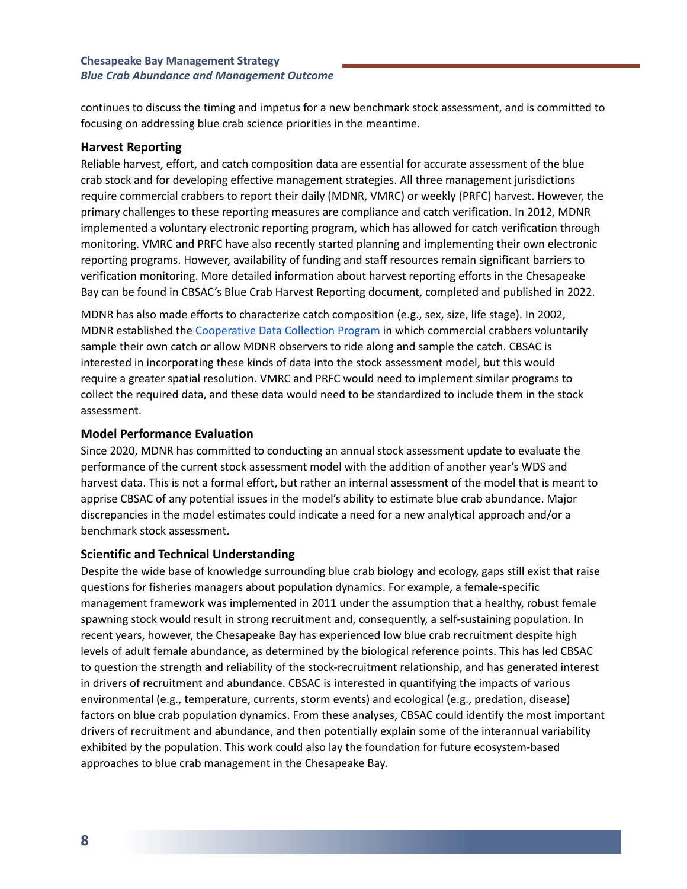continues to discuss the timing and impetus for a new benchmark stock assessment, and is committed to focusing on addressing blue crab science priorities in the meantime.

#### **Harvest Reporting**

Reliable harvest, effort, and catch composition data are essential for accurate assessment of the blue crab stock and for developing effective management strategies. All three management jurisdictions require commercial crabbers to report their daily (MDNR, VMRC) or weekly (PRFC) harvest. However, the primary challenges to these reporting measures are compliance and catch verification. In 2012, MDNR implemented a voluntary electronic reporting program, which has allowed for catch verification through monitoring. VMRC and PRFC have also recently started planning and implementing their own electronic reporting programs. However, availability of funding and staff resources remain significant barriers to verification monitoring. More detailed information about harvest reporting efforts in the Chesapeake Bay can be found in CBSAC's Blue Crab Harvest Reporting document, completed and published in 2022.

MDNR has also made efforts to characterize catch composition (e.g., sex, size, life stage). In 2002, MDNR established the [Cooperative](https://dnr.maryland.gov/fisheries/pages/blue-crab/coop_data_collection.aspx) Data Collection Program in which commercial crabbers voluntarily sample their own catch or allow MDNR observers to ride along and sample the catch. CBSAC is interested in incorporating these kinds of data into the stock assessment model, but this would require a greater spatial resolution. VMRC and PRFC would need to implement similar programs to collect the required data, and these data would need to be standardized to include them in the stock assessment.

#### **Model Performance Evaluation**

Since 2020, MDNR has committed to conducting an annual stock assessment update to evaluate the performance of the current stock assessment model with the addition of another year's WDS and harvest data. This is not a formal effort, but rather an internal assessment of the model that is meant to apprise CBSAC of any potential issues in the model's ability to estimate blue crab abundance. Major discrepancies in the model estimates could indicate a need for a new analytical approach and/or a benchmark stock assessment.

#### **Scientific and Technical Understanding**

Despite the wide base of knowledge surrounding blue crab biology and ecology, gaps still exist that raise questions for fisheries managers about population dynamics. For example, a female-specific management framework was implemented in 2011 under the assumption that a healthy, robust female spawning stock would result in strong recruitment and, consequently, a self-sustaining population. In recent years, however, the Chesapeake Bay has experienced low blue crab recruitment despite high levels of adult female abundance, as determined by the biological reference points. This has led CBSAC to question the strength and reliability of the stock-recruitment relationship, and has generated interest in drivers of recruitment and abundance. CBSAC is interested in quantifying the impacts of various environmental (e.g., temperature, currents, storm events) and ecological (e.g., predation, disease) factors on blue crab population dynamics. From these analyses, CBSAC could identify the most important drivers of recruitment and abundance, and then potentially explain some of the interannual variability exhibited by the population. This work could also lay the foundation for future ecosystem-based approaches to blue crab management in the Chesapeake Bay.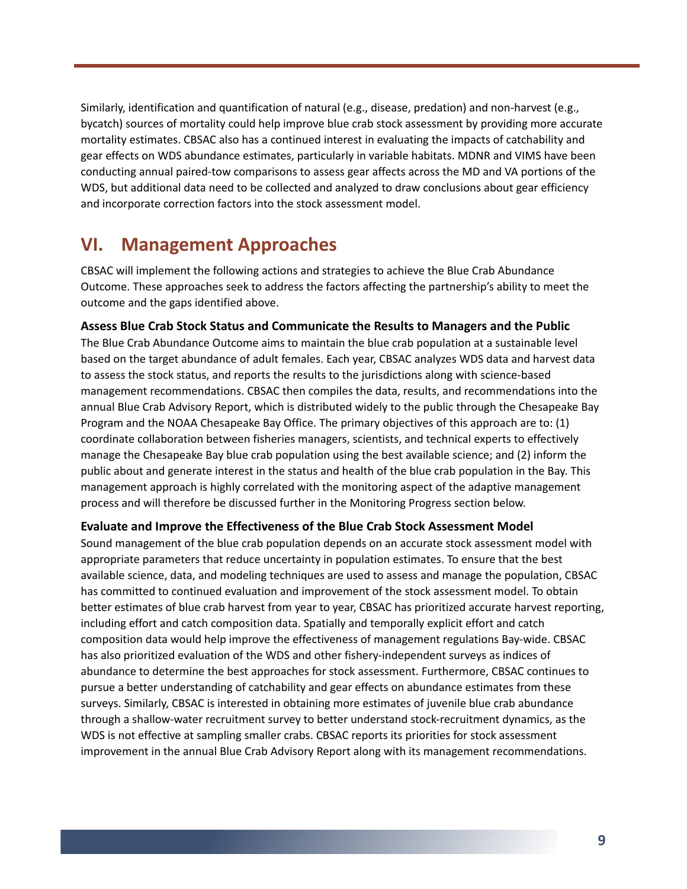Similarly, identification and quantification of natural (e.g., disease, predation) and non-harvest (e.g., bycatch) sources of mortality could help improve blue crab stock assessment by providing more accurate mortality estimates. CBSAC also has a continued interest in evaluating the impacts of catchability and gear effects on WDS abundance estimates, particularly in variable habitats. MDNR and VIMS have been conducting annual paired-tow comparisons to assess gear affects across the MD and VA portions of the WDS, but additional data need to be collected and analyzed to draw conclusions about gear efficiency and incorporate correction factors into the stock assessment model.

### **VI. Management Approaches**

CBSAC will implement the following actions and strategies to achieve the Blue Crab Abundance Outcome. These approaches seek to address the factors affecting the partnership's ability to meet the outcome and the gaps identified above.

#### **Assess Blue Crab Stock Status and Communicate the Results to Managers and the Public**

The Blue Crab Abundance Outcome aims to maintain the blue crab population at a sustainable level based on the target abundance of adult females. Each year, CBSAC analyzes WDS data and harvest data to assess the stock status, and reports the results to the jurisdictions along with science-based management recommendations. CBSAC then compiles the data, results, and recommendations into the annual Blue Crab Advisory Report, which is distributed widely to the public through the Chesapeake Bay Program and the NOAA Chesapeake Bay Office. The primary objectives of this approach are to: (1) coordinate collaboration between fisheries managers, scientists, and technical experts to effectively manage the Chesapeake Bay blue crab population using the best available science; and (2) inform the public about and generate interest in the status and health of the blue crab population in the Bay. This management approach is highly correlated with the monitoring aspect of the adaptive management process and will therefore be discussed further in the Monitoring Progress section below.

#### **Evaluate and Improve the Effectiveness of the Blue Crab Stock Assessment Model**

Sound management of the blue crab population depends on an accurate stock assessment model with appropriate parameters that reduce uncertainty in population estimates. To ensure that the best available science, data, and modeling techniques are used to assess and manage the population, CBSAC has committed to continued evaluation and improvement of the stock assessment model. To obtain better estimates of blue crab harvest from year to year, CBSAC has prioritized accurate harvest reporting, including effort and catch composition data. Spatially and temporally explicit effort and catch composition data would help improve the effectiveness of management regulations Bay-wide. CBSAC has also prioritized evaluation of the WDS and other fishery-independent surveys as indices of abundance to determine the best approaches for stock assessment. Furthermore, CBSAC continues to pursue a better understanding of catchability and gear effects on abundance estimates from these surveys. Similarly, CBSAC is interested in obtaining more estimates of juvenile blue crab abundance through a shallow-water recruitment survey to better understand stock-recruitment dynamics, as the WDS is not effective at sampling smaller crabs. CBSAC reports its priorities for stock assessment improvement in the annual Blue Crab Advisory Report along with its management recommendations.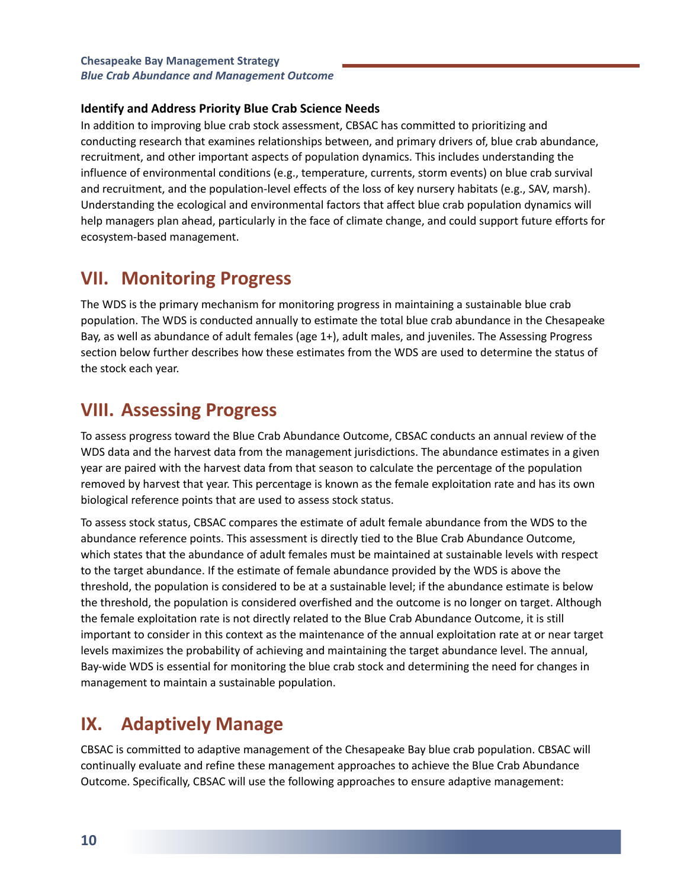#### **Identify and Address Priority Blue Crab Science Needs**

In addition to improving blue crab stock assessment, CBSAC has committed to prioritizing and conducting research that examines relationships between, and primary drivers of, blue crab abundance, recruitment, and other important aspects of population dynamics. This includes understanding the influence of environmental conditions (e.g., temperature, currents, storm events) on blue crab survival and recruitment, and the population-level effects of the loss of key nursery habitats (e.g., SAV, marsh). Understanding the ecological and environmental factors that affect blue crab population dynamics will help managers plan ahead, particularly in the face of climate change, and could support future efforts for ecosystem-based management.

### **VII. Monitoring Progress**

The WDS is the primary mechanism for monitoring progress in maintaining a sustainable blue crab population. The WDS is conducted annually to estimate the total blue crab abundance in the Chesapeake Bay, as well as abundance of adult females (age 1+), adult males, and juveniles. The Assessing Progress section below further describes how these estimates from the WDS are used to determine the status of the stock each year.

### **VIII. Assessing Progress**

To assess progress toward the Blue Crab Abundance Outcome, CBSAC conducts an annual review of the WDS data and the harvest data from the management jurisdictions. The abundance estimates in a given year are paired with the harvest data from that season to calculate the percentage of the population removed by harvest that year. This percentage is known as the female exploitation rate and has its own biological reference points that are used to assess stock status.

To assess stock status, CBSAC compares the estimate of adult female abundance from the WDS to the abundance reference points. This assessment is directly tied to the Blue Crab Abundance Outcome, which states that the abundance of adult females must be maintained at sustainable levels with respect to the target abundance. If the estimate of female abundance provided by the WDS is above the threshold, the population is considered to be at a sustainable level; if the abundance estimate is below the threshold, the population is considered overfished and the outcome is no longer on target. Although the female exploitation rate is not directly related to the Blue Crab Abundance Outcome, it is still important to consider in this context as the maintenance of the annual exploitation rate at or near target levels maximizes the probability of achieving and maintaining the target abundance level. The annual, Bay-wide WDS is essential for monitoring the blue crab stock and determining the need for changes in management to maintain a sustainable population.

### **IX. Adaptively Manage**

CBSAC is committed to adaptive management of the Chesapeake Bay blue crab population. CBSAC will continually evaluate and refine these management approaches to achieve the Blue Crab Abundance Outcome. Specifically, CBSAC will use the following approaches to ensure adaptive management: